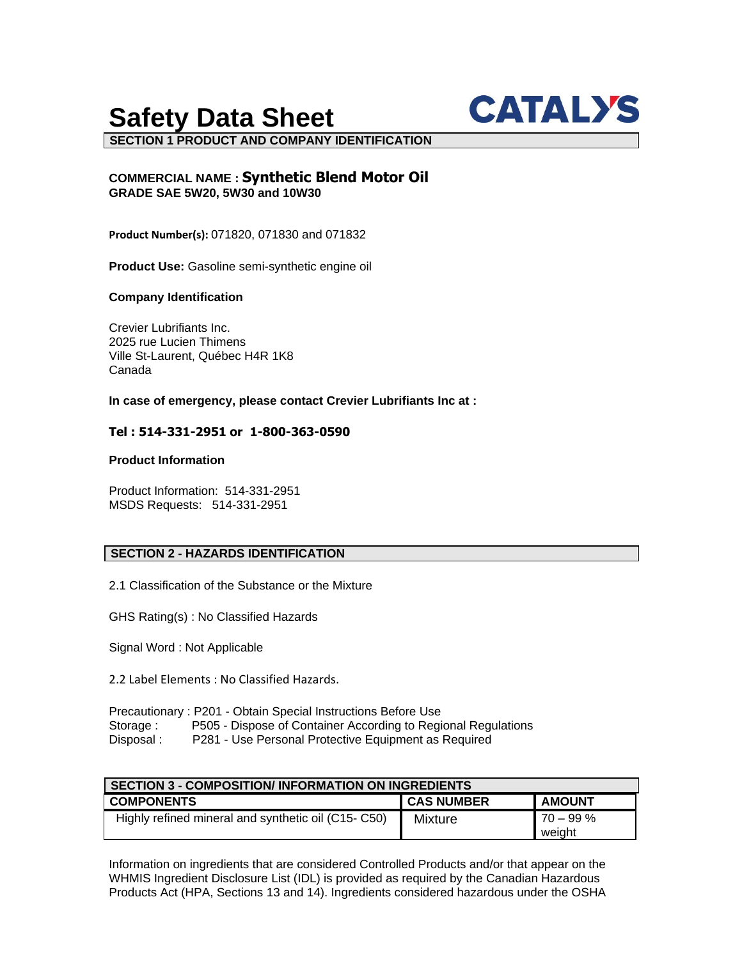# **Safety Data Sheet**



**SECTION 1 PRODUCT AND COMPANY IDENTIFICATION**

# **COMMERCIAL NAME : Synthetic Blend Motor Oil GRADE SAE 5W20, 5W30 and 10W30**

**Product Number(s):** 071820, 071830 and 071832

**Product Use:** Gasoline semi-synthetic engine oil

# **Company Identification**

Crevier Lubrifiants Inc. 2025 rue Lucien Thimens Ville St-Laurent, Québec H4R 1K8 Canada

**In case of emergency, please contact Crevier Lubrifiants Inc at :**

# **Tel : 514-331-2951 or 1-800-363-0590**

# **Product Information**

Product Information: 514-331-2951 MSDS Requests: 514-331-2951

# **SECTION 2 - HAZARDS IDENTIFICATION**

2.1 Classification of the Substance or the Mixture

GHS Rating(s) : No Classified Hazards

Signal Word : Not Applicable

2.2 Label Elements : No Classified Hazards.

|            | Precautionary: P201 - Obtain Special Instructions Before Use  |
|------------|---------------------------------------------------------------|
| Storage:   | P505 - Dispose of Container According to Regional Regulations |
| Disposal : | P281 - Use Personal Protective Equipment as Required          |

| <b>SECTION 3 - COMPOSITION/ INFORMATION ON INGREDIENTS</b> |                   |               |  |  |
|------------------------------------------------------------|-------------------|---------------|--|--|
| <b>COMPONENTS</b>                                          | <b>CAS NUMBER</b> | <b>AMOUNT</b> |  |  |
| Highly refined mineral and synthetic oil (C15-C50)         | Mixture           | $170 - 99%$   |  |  |
|                                                            |                   | weight        |  |  |

Information on ingredients that are considered Controlled Products and/or that appear on the WHMIS Ingredient Disclosure List (IDL) is provided as required by the Canadian Hazardous Products Act (HPA, Sections 13 and 14). Ingredients considered hazardous under the OSHA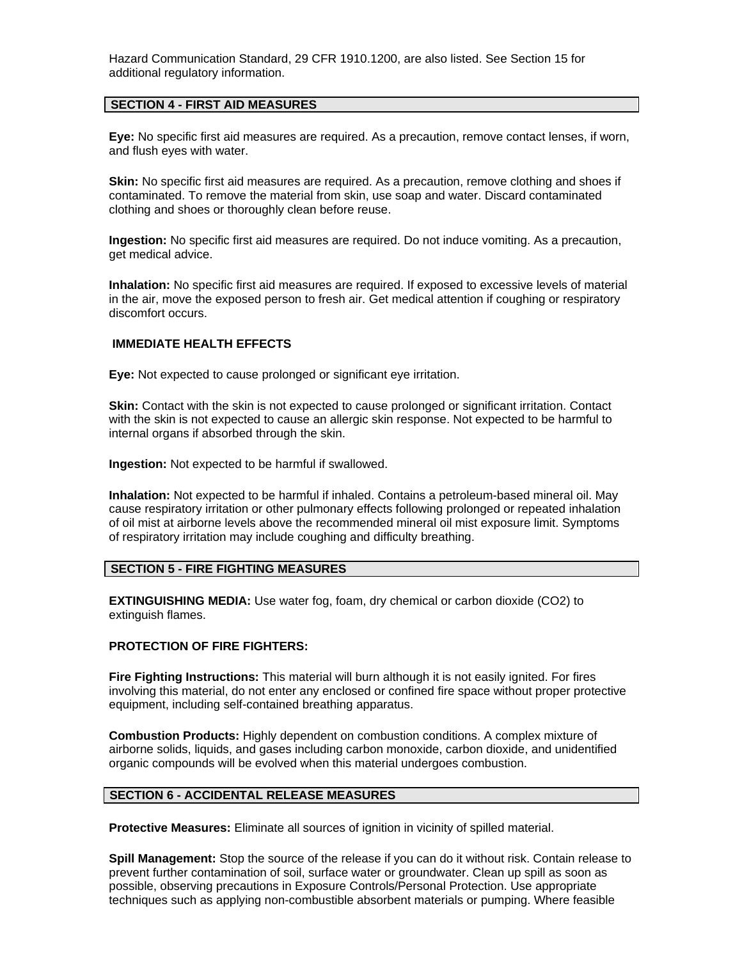Hazard Communication Standard, 29 CFR 1910.1200, are also listed. See Section 15 for additional regulatory information.

### **SECTION 4 - FIRST AID MEASURES**

**Eye:** No specific first aid measures are required. As a precaution, remove contact lenses, if worn, and flush eyes with water.

**Skin:** No specific first aid measures are required. As a precaution, remove clothing and shoes if contaminated. To remove the material from skin, use soap and water. Discard contaminated clothing and shoes or thoroughly clean before reuse.

**Ingestion:** No specific first aid measures are required. Do not induce vomiting. As a precaution, get medical advice.

**Inhalation:** No specific first aid measures are required. If exposed to excessive levels of material in the air, move the exposed person to fresh air. Get medical attention if coughing or respiratory discomfort occurs.

# **IMMEDIATE HEALTH EFFECTS**

**Eye:** Not expected to cause prolonged or significant eye irritation.

**Skin:** Contact with the skin is not expected to cause prolonged or significant irritation. Contact with the skin is not expected to cause an allergic skin response. Not expected to be harmful to internal organs if absorbed through the skin.

**Ingestion:** Not expected to be harmful if swallowed.

**Inhalation:** Not expected to be harmful if inhaled. Contains a petroleum-based mineral oil. May cause respiratory irritation or other pulmonary effects following prolonged or repeated inhalation of oil mist at airborne levels above the recommended mineral oil mist exposure limit. Symptoms of respiratory irritation may include coughing and difficulty breathing.

# **SECTION 5 - FIRE FIGHTING MEASURES**

**EXTINGUISHING MEDIA:** Use water fog, foam, dry chemical or carbon dioxide (CO2) to extinguish flames.

#### **PROTECTION OF FIRE FIGHTERS:**

**Fire Fighting Instructions:** This material will burn although it is not easily ignited. For fires involving this material, do not enter any enclosed or confined fire space without proper protective equipment, including self-contained breathing apparatus.

**Combustion Products:** Highly dependent on combustion conditions. A complex mixture of airborne solids, liquids, and gases including carbon monoxide, carbon dioxide, and unidentified organic compounds will be evolved when this material undergoes combustion.

# **SECTION 6 - ACCIDENTAL RELEASE MEASURES**

**Protective Measures:** Eliminate all sources of ignition in vicinity of spilled material.

**Spill Management:** Stop the source of the release if you can do it without risk. Contain release to prevent further contamination of soil, surface water or groundwater. Clean up spill as soon as possible, observing precautions in Exposure Controls/Personal Protection. Use appropriate techniques such as applying non-combustible absorbent materials or pumping. Where feasible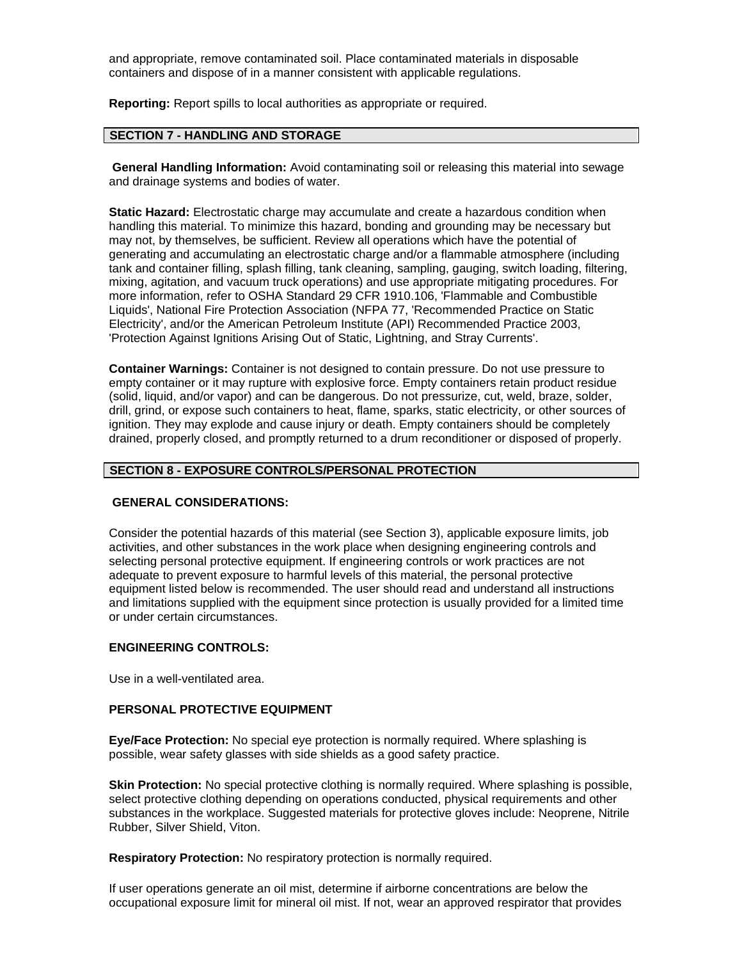and appropriate, remove contaminated soil. Place contaminated materials in disposable containers and dispose of in a manner consistent with applicable regulations.

**Reporting:** Report spills to local authorities as appropriate or required.

# **SECTION 7 - HANDLING AND STORAGE**

**General Handling Information:** Avoid contaminating soil or releasing this material into sewage and drainage systems and bodies of water.

**Static Hazard:** Electrostatic charge may accumulate and create a hazardous condition when handling this material. To minimize this hazard, bonding and grounding may be necessary but may not, by themselves, be sufficient. Review all operations which have the potential of generating and accumulating an electrostatic charge and/or a flammable atmosphere (including tank and container filling, splash filling, tank cleaning, sampling, gauging, switch loading, filtering, mixing, agitation, and vacuum truck operations) and use appropriate mitigating procedures. For more information, refer to OSHA Standard 29 CFR 1910.106, 'Flammable and Combustible Liquids', National Fire Protection Association (NFPA 77, 'Recommended Practice on Static Electricity', and/or the American Petroleum Institute (API) Recommended Practice 2003, 'Protection Against Ignitions Arising Out of Static, Lightning, and Stray Currents'.

**Container Warnings:** Container is not designed to contain pressure. Do not use pressure to empty container or it may rupture with explosive force. Empty containers retain product residue (solid, liquid, and/or vapor) and can be dangerous. Do not pressurize, cut, weld, braze, solder, drill, grind, or expose such containers to heat, flame, sparks, static electricity, or other sources of ignition. They may explode and cause injury or death. Empty containers should be completely drained, properly closed, and promptly returned to a drum reconditioner or disposed of properly.

#### **SECTION 8 - EXPOSURE CONTROLS/PERSONAL PROTECTION**

#### **GENERAL CONSIDERATIONS:**

Consider the potential hazards of this material (see Section 3), applicable exposure limits, job activities, and other substances in the work place when designing engineering controls and selecting personal protective equipment. If engineering controls or work practices are not adequate to prevent exposure to harmful levels of this material, the personal protective equipment listed below is recommended. The user should read and understand all instructions and limitations supplied with the equipment since protection is usually provided for a limited time or under certain circumstances.

# **ENGINEERING CONTROLS:**

Use in a well-ventilated area.

#### **PERSONAL PROTECTIVE EQUIPMENT**

**Eye/Face Protection:** No special eye protection is normally required. Where splashing is possible, wear safety glasses with side shields as a good safety practice.

**Skin Protection:** No special protective clothing is normally required. Where splashing is possible, select protective clothing depending on operations conducted, physical requirements and other substances in the workplace. Suggested materials for protective gloves include: Neoprene, Nitrile Rubber, Silver Shield, Viton.

**Respiratory Protection:** No respiratory protection is normally required.

If user operations generate an oil mist, determine if airborne concentrations are below the occupational exposure limit for mineral oil mist. If not, wear an approved respirator that provides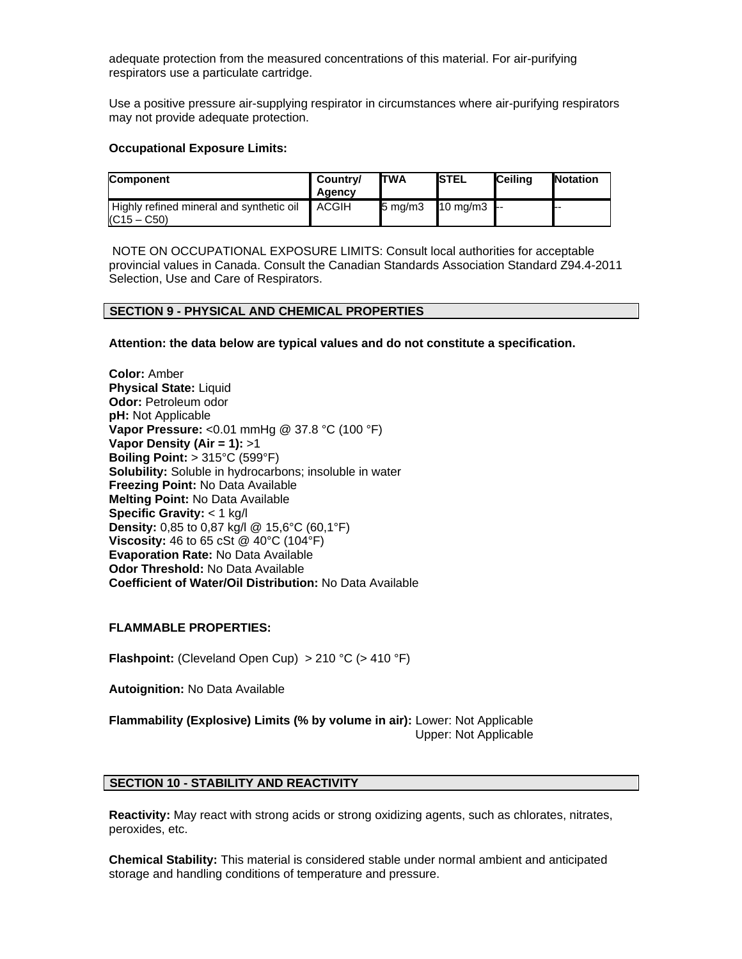adequate protection from the measured concentrations of this material. For air-purifying respirators use a particulate cartridge.

Use a positive pressure air-supplying respirator in circumstances where air-purifying respirators may not provide adequate protection.

# **Occupational Exposure Limits:**

| <b>Component</b>                                          | Country/<br>Agency | <b>ITWA</b>      | <b>ISTEL</b>   | <b>I</b> Ceilina | <b>Notation</b> |
|-----------------------------------------------------------|--------------------|------------------|----------------|------------------|-----------------|
| Highly refined mineral and synthetic oil<br>$(C15 - C50)$ | ACGIH              | $5 \text{ mg/m}$ | 10 mg/m $3$ -- |                  |                 |

NOTE ON OCCUPATIONAL EXPOSURE LIMITS: Consult local authorities for acceptable provincial values in Canada. Consult the Canadian Standards Association Standard Z94.4-2011 Selection, Use and Care of Respirators.

#### **SECTION 9 - PHYSICAL AND CHEMICAL PROPERTIES**

**Attention: the data below are typical values and do not constitute a specification.**

**Color:** Amber **Physical State:** Liquid **Odor: Petroleum odor pH:** Not Applicable **Vapor Pressure:** <0.01 mmHg @ 37.8 °C (100 °F) **Vapor Density (Air = 1):** >1 **Boiling Point:** > 315°C (599°F) **Solubility:** Soluble in hydrocarbons; insoluble in water **Freezing Point:** No Data Available **Melting Point:** No Data Available **Specific Gravity:** < 1 kg/l **Density:** 0,85 to 0,87 kg/l @ 15,6°C (60,1°F) **Viscosity:** 46 to 65 cSt @ 40°C (104°F) **Evaporation Rate:** No Data Available **Odor Threshold:** No Data Available **Coefficient of Water/Oil Distribution:** No Data Available

# **FLAMMABLE PROPERTIES:**

**Flashpoint:** (Cleveland Open Cup) > 210 °C (> 410 °F)

**Autoignition:** No Data Available

**Flammability (Explosive) Limits (% by volume in air):** Lower: Not Applicable Upper: Not Applicable

# **SECTION 10 - STABILITY AND REACTIVITY**

**Reactivity:** May react with strong acids or strong oxidizing agents, such as chlorates, nitrates, peroxides, etc.

**Chemical Stability:** This material is considered stable under normal ambient and anticipated storage and handling conditions of temperature and pressure.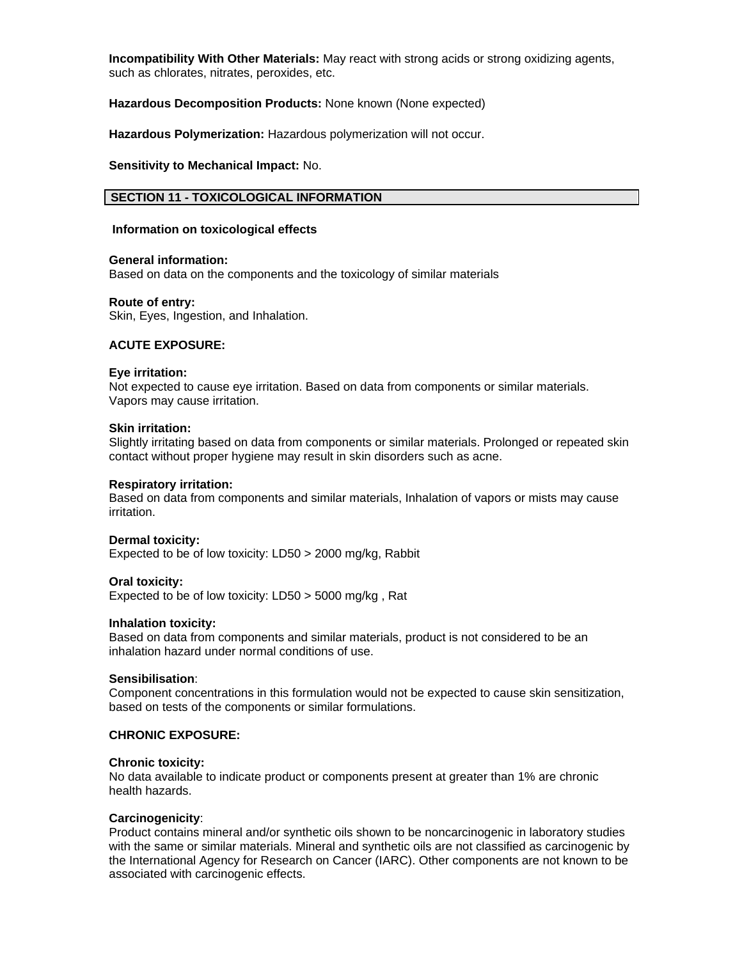**Incompatibility With Other Materials:** May react with strong acids or strong oxidizing agents, such as chlorates, nitrates, peroxides, etc.

**Hazardous Decomposition Products:** None known (None expected)

**Hazardous Polymerization:** Hazardous polymerization will not occur.

**Sensitivity to Mechanical Impact:** No.

# **SECTION 11 - TOXICOLOGICAL INFORMATION**

#### **Information on toxicological effects**

#### **General information:**

Based on data on the components and the toxicology of similar materials

#### **Route of entry:**

Skin, Eyes, Ingestion, and Inhalation.

# **ACUTE EXPOSURE:**

### **Eye irritation:**

Not expected to cause eye irritation. Based on data from components or similar materials. Vapors may cause irritation.

# **Skin irritation:**

Slightly irritating based on data from components or similar materials. Prolonged or repeated skin contact without proper hygiene may result in skin disorders such as acne.

#### **Respiratory irritation:**

Based on data from components and similar materials, Inhalation of vapors or mists may cause irritation.

# **Dermal toxicity:**

Expected to be of low toxicity: LD50 > 2000 mg/kg, Rabbit

#### **Oral toxicity:**

Expected to be of low toxicity: LD50 > 5000 mg/kg , Rat

#### **Inhalation toxicity:**

Based on data from components and similar materials, product is not considered to be an inhalation hazard under normal conditions of use.

#### **Sensibilisation**:

Component concentrations in this formulation would not be expected to cause skin sensitization, based on tests of the components or similar formulations.

# **CHRONIC EXPOSURE:**

#### **Chronic toxicity:**

No data available to indicate product or components present at greater than 1% are chronic health hazards.

#### **Carcinogenicity**:

Product contains mineral and/or synthetic oils shown to be noncarcinogenic in laboratory studies with the same or similar materials. Mineral and synthetic oils are not classified as carcinogenic by the International Agency for Research on Cancer (IARC). Other components are not known to be associated with carcinogenic effects.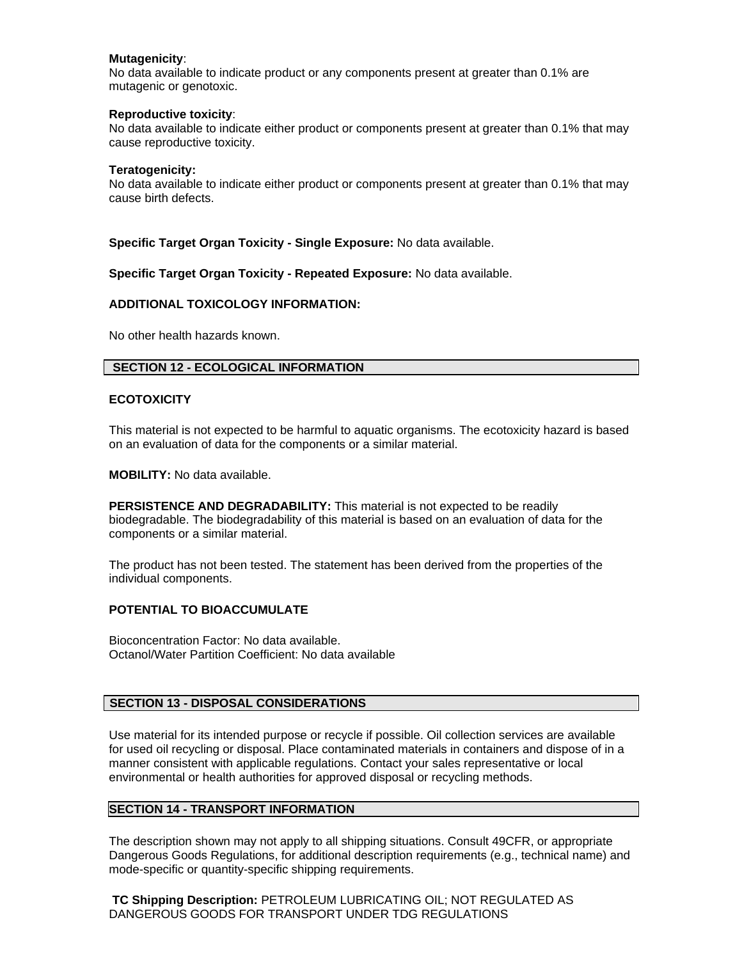# **Mutagenicity**:

No data available to indicate product or any components present at greater than 0.1% are mutagenic or genotoxic.

### **Reproductive toxicity**:

No data available to indicate either product or components present at greater than 0.1% that may cause reproductive toxicity.

### **Teratogenicity:**

No data available to indicate either product or components present at greater than 0.1% that may cause birth defects.

**Specific Target Organ Toxicity - Single Exposure:** No data available.

**Specific Target Organ Toxicity - Repeated Exposure:** No data available.

### **ADDITIONAL TOXICOLOGY INFORMATION:**

No other health hazards known.

# **SECTION 12 - ECOLOGICAL INFORMATION**

### **ECOTOXICITY**

This material is not expected to be harmful to aquatic organisms. The ecotoxicity hazard is based on an evaluation of data for the components or a similar material.

**MOBILITY:** No data available.

**PERSISTENCE AND DEGRADABILITY:** This material is not expected to be readily biodegradable. The biodegradability of this material is based on an evaluation of data for the components or a similar material.

The product has not been tested. The statement has been derived from the properties of the individual components.

# **POTENTIAL TO BIOACCUMULATE**

Bioconcentration Factor: No data available. Octanol/Water Partition Coefficient: No data available

# **SECTION 13 - DISPOSAL CONSIDERATIONS**

Use material for its intended purpose or recycle if possible. Oil collection services are available for used oil recycling or disposal. Place contaminated materials in containers and dispose of in a manner consistent with applicable regulations. Contact your sales representative or local environmental or health authorities for approved disposal or recycling methods.

# **SECTION 14 - TRANSPORT INFORMATION**

The description shown may not apply to all shipping situations. Consult 49CFR, or appropriate Dangerous Goods Regulations, for additional description requirements (e.g., technical name) and mode-specific or quantity-specific shipping requirements.

**TC Shipping Description:** PETROLEUM LUBRICATING OIL; NOT REGULATED AS DANGEROUS GOODS FOR TRANSPORT UNDER TDG REGULATIONS